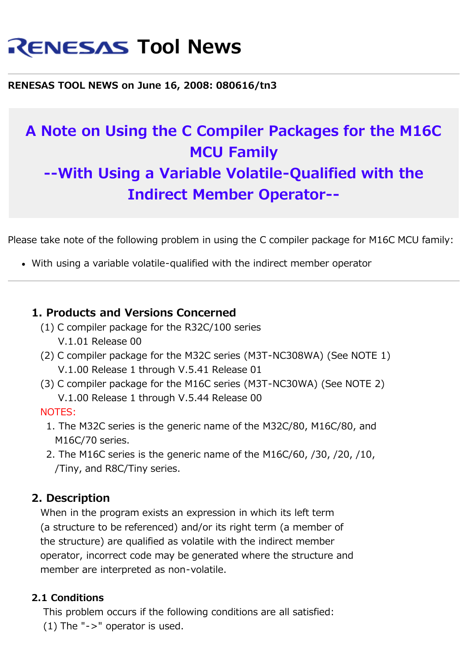# **RENESAS Tool News**

**RENESAS TOOL NEWS on June 16, 2008: 080616/tn3**

# **A Note on Using the C Compiler Packages for the M16C MCU Family --With Using a Variable Volatile-Qualified with the Indirect Member Operator--**

Please take note of the following problem in using the C compiler package for M16C MCU family:

With using a variable volatile-qualified with the indirect member operator

### **1. Products and Versions Concerned**

- (1) C compiler package for the R32C/100 series V.1.01 Release 00
- (2) C compiler package for the M32C series (M3T-NC308WA) (See NOTE 1) V.1.00 Release 1 through V.5.41 Release 01
- (3) C compiler package for the M16C series (M3T-NC30WA) (See NOTE 2) V.1.00 Release 1 through V.5.44 Release 00

#### NOTES:

- 1. The M32C series is the generic name of the M32C/80, M16C/80, and M16C/70 series.
- 2. The M16C series is the generic name of the M16C/60, /30, /20, /10, /Tiny, and R8C/Tiny series.

# **2. Description**

 When in the program exists an expression in which its left term (a structure to be referenced) and/or its right term (a member of the structure) are qualified as volatile with the indirect member operator, incorrect code may be generated where the structure and member are interpreted as non-volatile.

#### **2.1 Conditions**

 This problem occurs if the following conditions are all satisfied: (1) The " $\text{-}$  >" operator is used.